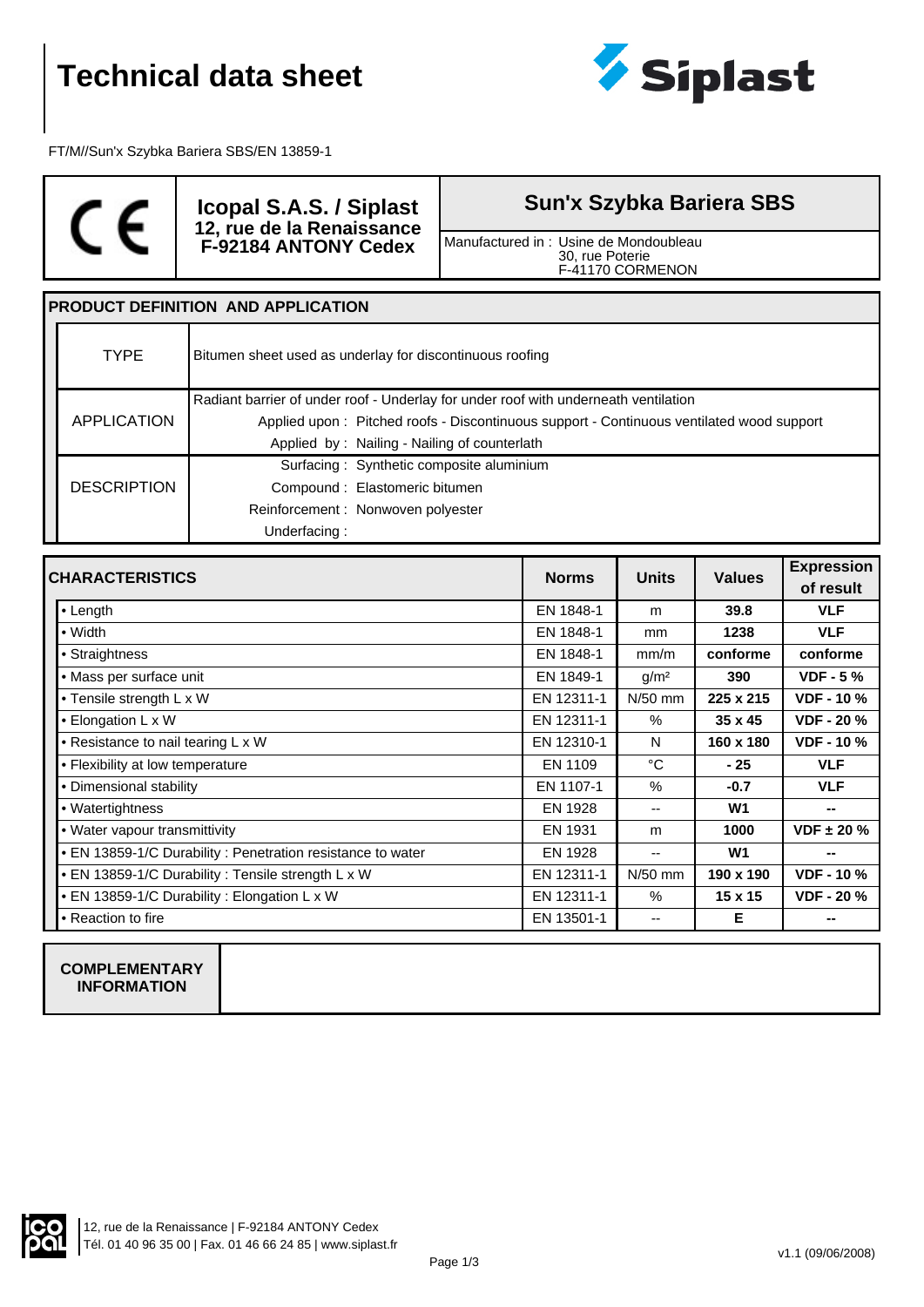

FT/M//Sun'x Szybka Bariera SBS/EN 13859-1



**Icopal S.A.S. / Siplast 12, rue de la Renaissance F-92184 ANTONY Cedex**

## **Sun'x Szybka Bariera SBS**

Manufactured in : Usine de Mondoubleau 30, rue Poterie F-41170 CORMENON

#### **PRODUCT DEFINITION AND APPLICATION**

| <b>TYPE</b>        | Bitumen sheet used as underlay for discontinuous roofing                                 |  |  |
|--------------------|------------------------------------------------------------------------------------------|--|--|
|                    | Radiant barrier of under roof - Underlay for under roof with underneath ventilation      |  |  |
| APPLICATION        | Applied upon: Pitched roofs - Discontinuous support - Continuous ventilated wood support |  |  |
|                    | Applied by: Nailing - Nailing of counterlath                                             |  |  |
|                    | Surfacing: Synthetic composite aluminium                                                 |  |  |
| <b>DESCRIPTION</b> | Compound: Elastomeric bitumen                                                            |  |  |
|                    | Reinforcement: Nonwoven polyester                                                        |  |  |
|                    | Underfacing:                                                                             |  |  |

| <b>CHARACTERISTICS</b>                                     | <b>Norms</b> | <b>Units</b>     | <b>Values</b>  | <b>Expression</b> |
|------------------------------------------------------------|--------------|------------------|----------------|-------------------|
|                                                            |              |                  |                | of result         |
| l• Length                                                  | EN 1848-1    | m                | 39.8           | <b>VLF</b>        |
| $\bullet$ Width                                            | EN 1848-1    | mm               | 1238           | <b>VLF</b>        |
| • Straightness                                             | EN 1848-1    | mm/m             | conforme       | conforme          |
| • Mass per surface unit                                    | EN 1849-1    | g/m <sup>2</sup> | 390            | $VDF - 5%$        |
| • Tensile strength L x W                                   | EN 12311-1   | $N/50$ mm        | 225 x 215      | <b>VDF - 10 %</b> |
| • Elongation L x W                                         | EN 12311-1   | %                | 35 x 45        | <b>VDF - 20 %</b> |
| • Resistance to nail tearing $L \times W$                  | EN 12310-1   | N                | 160 x 180      | <b>VDF - 10 %</b> |
| • Flexibility at low temperature                           | EN 1109      | °C               | - 25           | <b>VLF</b>        |
| • Dimensional stability                                    | EN 1107-1    | $\frac{0}{0}$    | $-0.7$         | <b>VLF</b>        |
| • Watertightness                                           | EN 1928      | $- -$            | W <sub>1</sub> | $\sim$            |
| • Water vapour transmittivity                              | EN 1931      | m                | 1000           | $VDF \pm 20 \%$   |
| • EN 13859-1/C Durability: Penetration resistance to water | EN 1928      | $- -$            | W <sub>1</sub> | --                |
| • EN 13859-1/C Durability: Tensile strength L x W          | EN 12311-1   | $N/50$ mm        | 190 x 190      | <b>VDF - 10 %</b> |
| • EN 13859-1/C Durability: Elongation L x W                | EN 12311-1   | %                | $15 \times 15$ | <b>VDF - 20 %</b> |
| • Reaction to fire                                         | EN 13501-1   | --               | Е              |                   |

#### **COMPLEMENTARY INFORMATION**

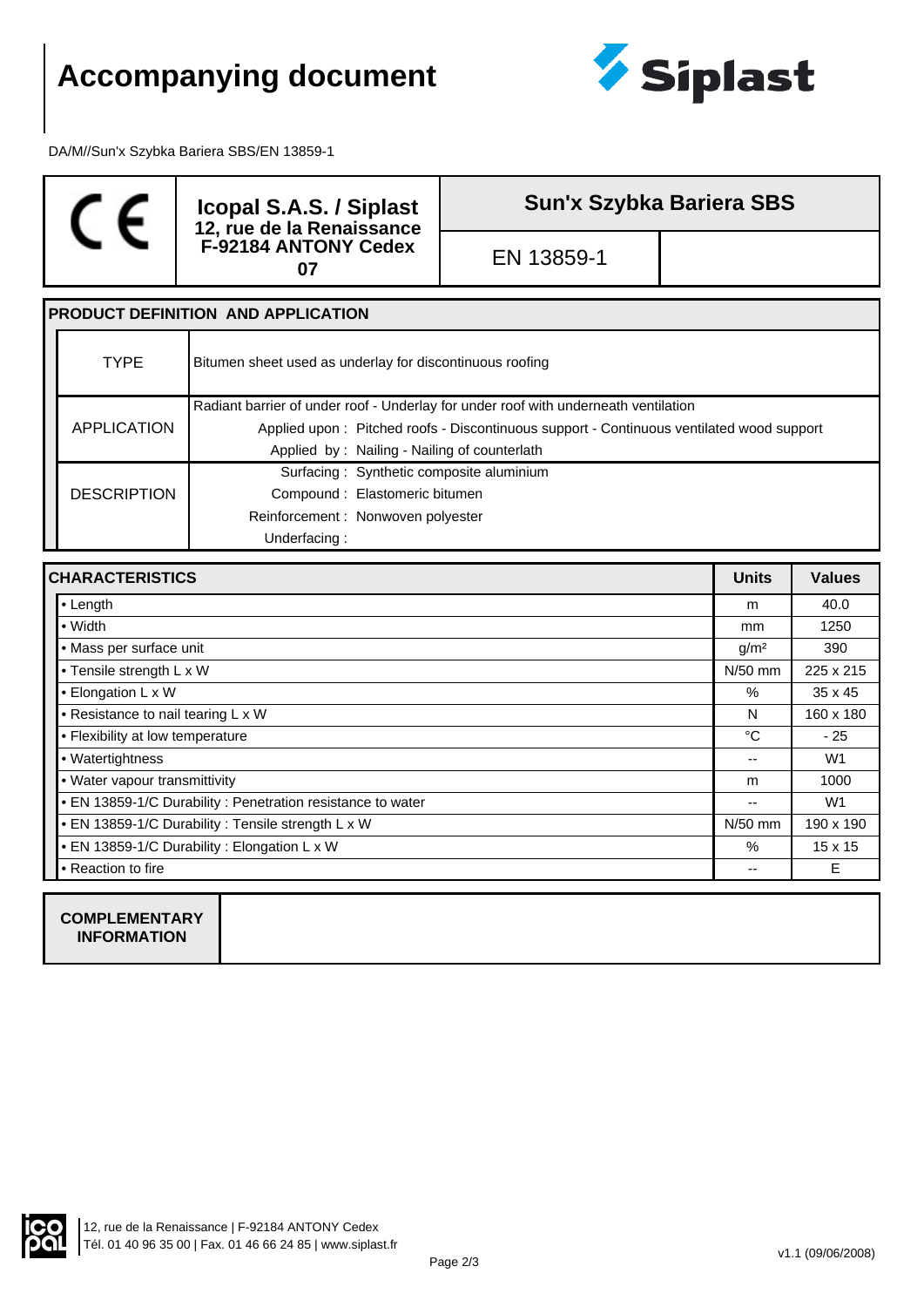# **Accompanying document**



DA/M//Sun'x Szybka Bariera SBS/EN 13859-1



**Icopal S.A.S. / Siplast 12, rue de la Renaissance F-92184 ANTONY Cedex <sup>07</sup>** EN 13859-1

**Sun'x Szybka Bariera SBS**

### **PRODUCT DEFINITION AND APPLICATION** TYPE Bitumen sheet used as underlay for discontinuous roofing APPLICATION Radiant barrier of under roof - Underlay for under roof with underneath ventilation Applied upon : Pitched roofs - Discontinuous support - Continuous ventilated wood support Applied by : Nailing - Nailing of counterlath **DESCRIPTION** Surfacing : Synthetic composite aluminium Compound : Elastomeric bitumen Reinforcement : Nonwoven polyester Underfacing :

| <b>CHARACTERISTICS</b>                                     |           | <b>Values</b>  |
|------------------------------------------------------------|-----------|----------------|
| $\cdot$ Length                                             | m         | 40.0           |
| $\bullet$ Width                                            | mm        | 1250           |
| • Mass per surface unit                                    |           | 390            |
| • Tensile strength L x W                                   | N/50 mm   | 225 x 215      |
| • Elongation L x W                                         | $\%$      | $35 \times 45$ |
| • Resistance to nail tearing L x W                         | N         | 160 x 180      |
| • Flexibility at low temperature                           | °C        | $-25$          |
| • Watertightness                                           | --        | W1             |
| . Water vapour transmittivity                              | m         | 1000           |
| • EN 13859-1/C Durability: Penetration resistance to water | --        | W <sub>1</sub> |
| • EN 13859-1/C Durability : Tensile strength L x W         | $N/50$ mm | 190 x 190      |
| • EN 13859-1/C Durability: Elongation L x W                | $\%$      | $15 \times 15$ |
| ● Reaction to fire                                         | --        | Ε              |
|                                                            |           |                |

**COMPLEMENTARY INFORMATION**